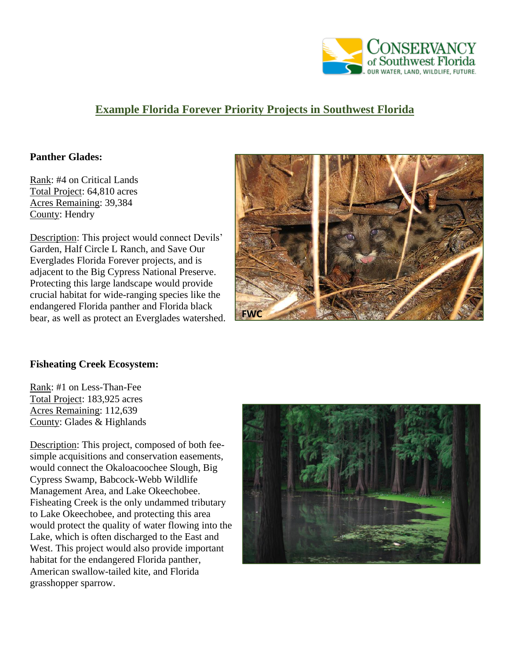

## **Example Florida Forever Priority Projects in Southwest Florida**

## **Panther Glades:**

Rank: #4 on Critical Lands Total Project: 64,810 acres Acres Remaining: 39,384 County: Hendry

Description: This project would connect Devils' Garden, Half Circle L Ranch, and Save Our Everglades Florida Forever projects, and is adjacent to the Big Cypress National Preserve. Protecting this large landscape would provide crucial habitat for wide-ranging species like the endangered Florida panther and Florida black bear, as well as protect an Everglades watershed.



## **Fisheating Creek Ecosystem:**

Rank: #1 on Less-Than-Fee Total Project: 183,925 acres Acres Remaining: 112,639 County: Glades & Highlands

Description: This project, composed of both feesimple acquisitions and conservation easements, would connect the Okaloacoochee Slough, Big Cypress Swamp, Babcock-Webb Wildlife Management Area, and Lake Okeechobee. Fisheating Creek is the only undammed tributary to Lake Okeechobee, and protecting this area would protect the quality of water flowing into the Lake, which is often discharged to the East and West. This project would also provide important habitat for the endangered Florida panther, American swallow-tailed kite, and Florida grasshopper sparrow.